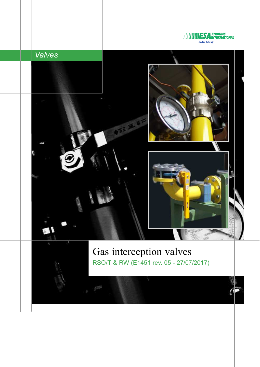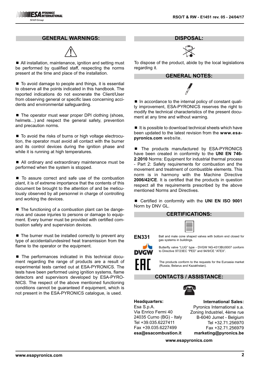#### **GENERAL WARNINGS:**



■ All installation, maintenance, ignition and setting must be performed by qualified staff, respecting the norms present at the time and place of the installation.

 $\blacksquare$  To avoid damage to people and things, it is essential to observe all the points indicated in this handbook. The reported indications do not exonerate the Client/User from observing general or specific laws concerning accidents and environmental safeguarding.

 $\blacksquare$  The operator must wear proper DPI clothing (shoes, helmets...) and respect the general safety, prevention and precaution norms.

■ To avoid the risks of burns or high voltage electrocution, the operator must avoid all contact with the burner and its control devices during the ignition phase and while it is running at high temperatures.

■ All ordinary and extraordinary maintenance must be performed when the system is stopped.

■ To assure correct and safe use of the combustion plant, it is of extreme importance that the contents of this document be brought to the attention of and be meticulously observed by all personnel in charge of controlling and working the devices.

■ The functioning of a combustion plant can be dangerous and cause injuries to persons or damage to equipment. Every burner must be provided with certified combustion safety and supervision devices.

 $\blacksquare$  The burner must be installed correctly to prevent any type of accidental/undesired heat transmission from the flame to the operator or the equipment.

■ The performances indicated in this technical document regarding the range of products are a result of experimental tests carried out at ESA-PYRONICS. The tests have been performed using ignition systems, flame detectors and supervisors developed by ESA-PYRO-NICS. The respect of the above mentioned functioning conditions cannot be guaranteed if equipment, which is not present in the ESA-PYRONICS catalogue, is used.

## **DISPOSAL:**



To dispose of the product, abide by the local legislations regarding it.

#### **GENERAL NOTES:**



■ In accordance to the internal policy of constant quality improvement, ESA-PYRONICS reserves the right to modify the technical characteristics of the present document at any time and without warning.

 $\blacksquare$  It is possible to download technical sheets which have been updated to the latest revision from the **www.esapyronics.com** website.

The products manufactured by ESA-PYRONICS have been created in conformity to the **UNI EN 746- 2:2010** Norms: Equipment for industrial thermal process - Part 2: Safety requirements for combustion and the movement and treatment of combustible elements. This norm is in harmony with the Machine Directive **2006/42/CE**. It is certified that the products in question respect all the requirements prescribed by the above mentioned Norms and Directives.

■ Certified in conformity with the **UNI EN ISO 9001** Norm by DNV GL.

#### **CERTIFICATIONS:**

**EN331**

Ball and male cone shaped valves with bottom end closed for gas systems in buildings.



Butterfly valve "LUG" type - DVGW NG-4313BU0007 conform to Directive 97/23EC "PED" and 94/9/CE "ATEX".



The products conform to the requests for the Euroasia market (Russia, Belarus and Kazakhstan).

#### **CONTACTS / ASSISTANCE:**



**Headquarters:** Esa S.p.A. Via Enrico Fermi 40 24035 Curno (BG) - Italy Tel +39.035.6227411 Fax +39.035.6227499 **esa@esacombustion.it**

**International Sales:** Pyronics International s.a. Zoning Industriel, 4ème rue B-6040 Jumet - Belgium Tel +32.71.256970 Fax +32.71.256979 **marketing@pyronics.be**

**www.esapyronics.com**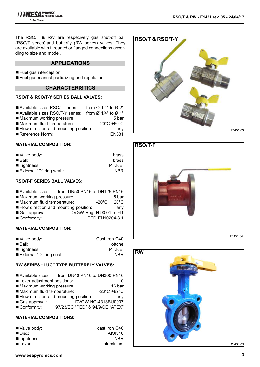The RSO/T & RW are respecively gas shut-off ball (RSO/T series) and butterfly (RW series) valves. They are available with threaded or flanged connections according to size and model.

#### **APPLICATIONS**

- $\blacksquare$  Fuel gas interception.
- Fuel gas manual partializing and regulation

## **CHARACTERISTICS**

#### **RSO/T & RSO/T-Y SERIES BALL VALVES:**

| Available sizes RSO/T series :                        | from $\varnothing$ 1/4" to $\varnothing$ 2" |
|-------------------------------------------------------|---------------------------------------------|
| ■ Available sizes RSO/T-Y series: from Ø 1/4" to Ø 1" |                                             |
| ■ Maximum working pressure:                           | 5 bar                                       |
| Maximum fluid temperature:                            | $-20^{\circ}$ C +60 $^{\circ}$ C            |
| Flow direction and mounting position:                 | any                                         |
| Reference Norm:                                       | <b>EN331</b>                                |

#### **MATERIAL COMPOSITION:**

| brass      |
|------------|
| brass      |
| P.T.F.E.   |
| <b>NBR</b> |
|            |

#### **RSO/T-F SERIES BALL VALVES:**

- Available sizes: from DN50 PN16 to DN125 PN16
- Maximum working pressure: 5 bar
- Maximum fluid temperature: -20°C +120°C
- Flow direction and mounting position: any
- Gas approval: DVGW Reg. N.93.01 e 941
- Conformity: PED EN10204-3.1

## **MATERIAL COMPOSITION:**

| ■ Valve body:             | Cast iron G40 |
|---------------------------|---------------|
| $\blacksquare$ Ball:      | ottone        |
| $\blacksquare$ Tigntness: | P.T.F.E.      |
| ■ External "O" ring seal: | NBR.          |

## **RW SERIES "LUG" TYPE BUTTERFLY VALVES:**

- Lever adjustment positions: 10
- ■Maximum working pressure: 16 bar<br>■Maximum fluid temperature: 23°C +82°C
- $\blacksquare$  Maximum fluid temperature:
- Flow direction and mounting position: any
- Gas approval: DVGW NG-4313BU0007
- Conformity: 97/23/EC "PED" & 94/9/CE "ATEX"

# **MATERIAL COMPOSITIONS:**

| cast iron G40 |
|---------------|
| AISI316       |
| <b>NBR</b>    |
| aluminium     |
|               |





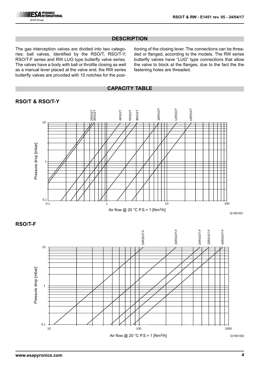# **DESCRIPTION**

The gas interception valves are divided into two categories: ball valves, identified by the RSO/T, RSO/T-Y, RSO/T-F series and RW LUG type butterfly valve series. The valves have a body with ball or throttle closing as well as a manual lever placed at the valve end; the RW series butterfly valves are provided with 10 notches for the positioning of the closing lever. The connections can be threaded or flanged, according to the models. The RW series butterfly valves have "LUG" type connections that allow the valve to block at the flanges, due to the fact the the fastening holes are threaded.

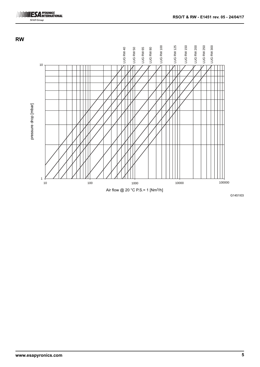





G1451I03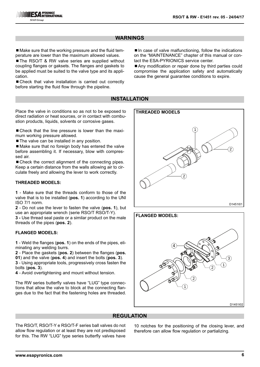## **WARNINGS**

■ Make sure that the working pressure and the fluid temperature are lower than the maximum allowed values.

■ The RSO/T & RW valve series are supplied without coupling flanges or gaksets. The flanges and gaskets to be applied must be suited to the valve type and its application.

■ Check that valve installation is carried out correctly before starting the fluid flow through the pipeline.

 $\blacksquare$  In case of valve malfunctioning, follow the indications on the "MAINTENANCE" chapter of this manual or contact the ESA-PYRIONICS service center.

■ Any modification or repair done by third parties could compromise the application safety and automatically cause the general guarantee conditions to expire.

# **INSTALLATION**

Place the valve in conditions so as not to be exposed to direct radiation or heat sources, or in contact with combustion products, liquids, solvents or corrosive gases. ■ Check that the line pressure is lower than the maximum working pressure allowed. ■ The valve can be installed in any position.

■ Make sure that no foreign body has entered the valve before assembling it. If necessary, blow with compressed air.

■ Check the correct alignment of the connecting pipes. Keep a certain distance from the walls allowing air to circulate freely and allowing the lever to work correctly.

#### **THREADED MODELS:**

**1** - Make sure that the threads conform to those of the valve that is to be installed (**pos. 1**) according to the UNI ISO 7/1 norm.

**2** - Do not use the lever to fasten the valve (**pos. 1**), but use an appropriate wrench (serie RSO/T RSO/T-Y).

**3 -** Use thread seal paste or a similar product on the male threads of the pipes (**pos. 2**).

#### **FLANGED MODELS:**

**1** - Weld the flanges (**pos. 1**) on the ends of the pipes, eliminating any welding burrs.

**2** - Place the gaskets (**pos. 2**) between the flanges (**pos.**

**01**) and the valve (**pos. 4**) and insert the bolts (**pos. 3**).

**3** - Using appropriate tools, progressively cross fasten the bolts (**pos. 3**).

**4** - Avoid overtightening and mount without tension.

The RW series butterfly valves have "LUG" type connections that allow the valve to block at the connecting flanges due to the fact that the fastening holes are threaded.





## **REGULATION**

The RSO/T, RSO/T-Y e RSO/T-F series ball valves do not allow flow regulation or at least they are not predisposed for this. The RW "LUG" type series butterfly valves have

10 notches for the positioning of the closing lever, and therefore can allow flow regulation or partializing.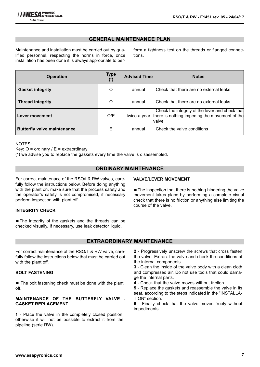# **GENERAL MAINTENANCE PLAN**

Maintenance and installation must be carried out by qualified personnel, respecting the norms in force, once installation has been done it is always appropriate to perform a tightness test on the threads or flanged connections.

| <b>Operation</b>                   | <b>Type</b> | <b>Advised Timel</b> | <b>Notes</b>                                                                                               |
|------------------------------------|-------------|----------------------|------------------------------------------------------------------------------------------------------------|
| <b>Gasket integrity</b>            | O           | annual               | Check that there are no external leaks                                                                     |
| <b>Thread integrity</b>            | O           | annual               | Check that there are no external leaks                                                                     |
| Lever movement                     | O/E         | twice a year         | Check the integrity of the lever and check that<br>there is nothing impeding the movement of the<br>lvalve |
| <b>Butterfly valve maintenance</b> | E           | annual               | Check the valve conditions                                                                                 |

NOTES:

Key:  $O =$  ordinary /  $E =$  extraordinary

(\*) we advise you to replace the gaskets every time the valve is disassembled.

## **ORDINARY MAINTENANCE**

For correct maintenace of the RSO/t & RW valves, carefully follow the instructions below. Before doing anything with the plant on, make sure that the process safety and the operator's safety is not compromised, if necessary perform inspection with plant off.

#### **INTEGRITY CHECK**

■ The integrity of the gaskets and the threads can be checked visually. If necessary, use leak detector liquid.

# **VALVE/LEVER MOVEMENT**

■ The inspection that there is nothing hindering the valve movement takes place by performing a complete visual check that there is no friction or anything else limiting the course of the valve.

## **EXTRAORDINARY MAINTENANCE**

For correct maintenance of the RSO/T & RW valve, carefully follow the instructions below that must be carried out with the plant off.

#### **BOLT FASTENING**

 $\blacksquare$  The bolt fastening check must be done with the plant off.

#### **MAINTENANCE OF THE BUTTERFLY VALVE - GASKET REPLACEMENT**

**1** - Place the valve in the completely closed position, otherwise it will not be possible to extract it from the pipeline (serie RW).

**2** - Progressively unscrew the screws that cross fasten the valve. Extract the valve and check the conditions of the internal components.

**3** - Clean the inside of the valve body with a clean cloth and compressed air. Do not use tools that could damage the internal parts.

**4** - Check that the valve moves without friction.

**5** - Replace the gaskets and reassemble the valve in its seat, according to the steps indicated in the "INSTALLA-TION" section.

**6** - Finally check that the valve moves freely without impediments.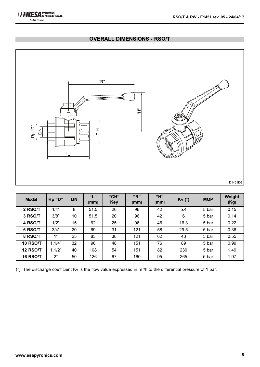

# **OVERALL DIMENSIONS - RSO/T**



| <b>Model</b>    | Rp "D" | <b>DN</b> | ``L"<br>[mm] | "CH"<br><b>Key</b> | "R"<br>[mm] | "H"<br>[mm] | $Kv$ $(*)$ | <b>MOP</b> | Weight<br>[Kg] |
|-----------------|--------|-----------|--------------|--------------------|-------------|-------------|------------|------------|----------------|
| 2 RSO/T         | 1/4"   | 8         | 51.5         | 20                 | 96          | 42          | 5.4        | 5 bar      | 0.15           |
| 3 RSO/T         | 3/8"   | 10        | 51.5         | 20                 | 96          | 42          | 6          | 5 bar      | 0.14           |
| 4 RSO/T         | 1/2"   | 15        | 62           | 25                 | 96          | 46          | 16.3       | 5 bar      | 0.22           |
| 6 RSO/T         | 3/4"   | 20        | 69           | 31                 | 121         | 58          | 29.5       | 5 bar      | 0.36           |
| 8 RSO/T         | 1"     | 25        | 83           | 38                 | 121         | 62          | 43         | 5 bar      | 0.55           |
| <b>10 RSO/T</b> | 1.1/4" | 32        | 96           | 48                 | 151         | 76          | 89         | 5 bar      | 0.99           |
| <b>12 RSO/T</b> | 1.1/2" | 40        | 108          | 54                 | 151         | 82          | 230        | 5 bar      | 1.49           |
| <b>16 RSO/T</b> | 2"     | 50        | 126          | 67                 | 160         | 95          | 265        | 5 bar      | 1.97           |

(\*) The discharge coefficient Kv is the flow value expressed in  $m^3/h$  to the differential pressure of 1 bar.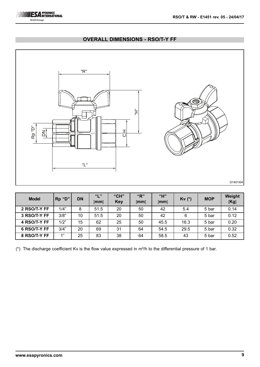

# **OVERALL DIMENSIONS - RSO/T-Y FF**



| <b>Model</b> | Rp "D" | <b>DN</b> | ``L"<br>[mm] | "CH"<br>Key | "R"<br>[mm] | "H"<br>[mm] | $Kv$ $(*)$ | <b>MOP</b> | Weight<br>[Kg] |
|--------------|--------|-----------|--------------|-------------|-------------|-------------|------------|------------|----------------|
| 2 RSO/T-Y FF | 1/4"   | 8         | 51.5         | 20          | 50          | 42          | 5.4        | 5 bar      | 0.14           |
| 3 RSO/T-Y FF | 3/8"   | 10        | 51.5         | 20          | 50          | 42          | 6          | 5 bar      | 0.12           |
| 4 RSO/T-Y FF | 1/2"   | 15        | 62           | 25          | 50          | 45.5        | 16.3       | 5 bar      | 0.20           |
| 6 RSO/T-Y FF | 3/4"   | 20        | 69           | 31          | 64          | 54.5        | 29.5       | 5 bar      | 0.32           |
| 8 RSO/T-Y FF | 4"     | 25        | 83           | 38          | 64          | 58.5        | 43         | 5 bar      | 0.52           |

(\*) The discharge coefficient Kv is the flow value expressed in  $m^3/h$  to the differential pressure of 1 bar.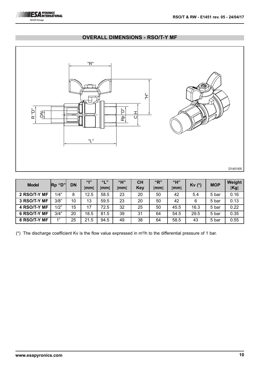

## **OVERALL DIMENSIONS - RSO/T-Y MF**



| <b>Model</b> | Rp "D" | <b>DN</b> | 66   99<br>[mm] | ""<br>[mm] | "H"<br>$\lceil \mathsf{mm} \rceil$ | <b>CH</b><br><b>Key</b> | "R"<br>[mm] | "H"<br>[mm] | Kv (*) | <b>MOP</b> | Weight<br>[Kg] |
|--------------|--------|-----------|-----------------|------------|------------------------------------|-------------------------|-------------|-------------|--------|------------|----------------|
| 2 RSO/T-Y MF | 1/4"   | 8         | 12.5            | 58.5       | 23                                 | 20                      | 50          | 42          | 5.4    | 5 bar      | 0.16           |
| 3 RSO/T-Y MF | 3/8"   | 10        | 13              | 59.5       | 23                                 | 20                      | 50          | 42          | 6      | 5 bar      | 0.13           |
| 4 RSO/T-Y MF | 1/2"   | 15        | 17              | 72.5       | 32                                 | 25                      | 50          | 45.5        | 16.3   | 5 bar      | 0.22           |
| 6 RSO/T-Y MF | 3/4"   | 20        | 18.5            | 81.5       | 39                                 | 31                      | 64          | 54.5        | 29.5   | 5 bar      | 0.35           |
| 8 RSO/T-Y MF | 4"     | 25        | 21.5            | 94.5       | 49                                 | 38                      | 64          | 58.5        | 43     | 5 bar      | 0.55           |

(\*) The discharge coefficient Kv is the flow value expressed in  $m^3/h$  to the differential pressure of 1 bar.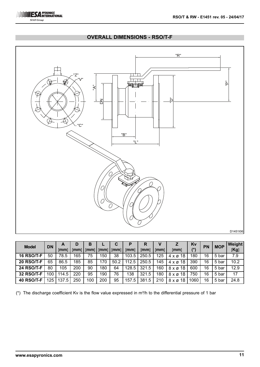

# **OVERALL DIMENSIONS - RSO/T-F**



| <b>Model</b>      | <b>DN</b>        | A<br>[mm] | D<br>[mm] | В<br>[mm] | $\lfloor$ [mm] | [mm] | [mm]  | R<br>[mm] | [mm] | [mm]                       | Kv<br>$(\hbox{}^\star)$ | <b>PN</b> | <b>MOP</b> | Weight<br>[Kg] |
|-------------------|------------------|-----------|-----------|-----------|----------------|------|-------|-----------|------|----------------------------|-------------------------|-----------|------------|----------------|
| <b>16 RSO/T-F</b> | 50               | 78.5      | 165       | 75        | 150            | 38   | 103.5 | 250.5     | 125  | $4 \times 218$             | 180                     | 16        | 5 bar      | 7.9            |
| <b>20 RSO/T-F</b> | 65               | 86.5      | 185       | 85        | 170            | 50.2 | 112.5 | 250.5     | 145  | 18<br>$4 \times \emptyset$ | 390                     | 16        | 5 bar      | 10.2           |
| <b>24 RSO/T-F</b> | 80               | 105       | 200       | 90        | 180            | 64   | 128.5 | 321.5     | 160  | 18<br>$8 \times \emptyset$ | 600                     | 16        | 5 bar      | 12.9           |
| 32 RSO/T-F        | 100 <sub>1</sub> | 114.5     | 220       | 95        | 190            | 76   | 138   | 321.5     | 180  | 18<br>8 x ø                | 750                     | 16        | 5 bar      | 17             |
| <b>40 RSO/T-F</b> | 125              | 137.5     | 250       | 100       | 200            | 95   | 157.5 | 381.5     | 210  | $8 \times \emptyset$ 18    | 1060                    | 16        | 5 bar      | 24.8           |

( $*$ ) The discharge coefficient Kv is the flow value expressed in m $3/h$  to the differential pressure of 1 bar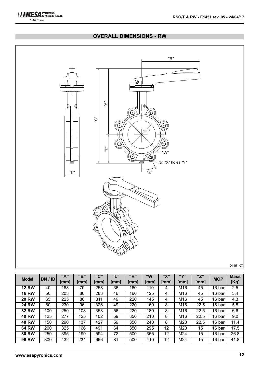# "R" \_<br>ම **12**  $\frac{1}{2}$  **12**  $\frac{1}{2}$  **12**  $\frac{1}{2}$  **12**  $\frac{1}{2}$  **12**  $\frac{1}{2}$  **12**  $\frac{1}{2}$  **12**  $\frac{1}{2}$  **12**  $\frac{1}{2}$  **12**  $\frac{1}{2}$  **12**  $\frac{1}{2}$  **12**  $\frac{1}{2}$  **12**  $\frac{1}{2}$  **12**  $\frac{1}{2}$  **12**  $\frac{1}{2}$  **12**  $\frac{1}{$  "ID" "W" Nr. "X" holes "Y" "L" "Z"

# **OVERALL DIMENSIONS - RW**

D1451I07

| <b>Model</b> | DN / ID | "A"  | "B"  | "C"  | 661 99 | "R"  | "W"  | <b>"V"</b> | (11)        | "Z"  | <b>MOP</b> | <b>Mass</b> |
|--------------|---------|------|------|------|--------|------|------|------------|-------------|------|------------|-------------|
|              |         | [mm] | [mm] | [mm] | mm     | [mm] | [mm] | [mm]       | <b>Imml</b> | mm   |            | [Kg]        |
| <b>12 RW</b> | 40      | 188  | 70   | 258  | 36     | 160  | 110  | 4          | M16         | 45   | 16 bar     | $2.5\,$     |
| <b>16 RW</b> | 50      | 203  | 80   | 283  | 46     | 160  | 125  | 4          | M16         | 45   | 16 bar     | 3.4         |
| <b>20 RW</b> | 65      | 225  | 86   | 311  | 49     | 220  | 145  | 4          | M16         | 45   | 16 bar     | 4.3         |
| <b>24 RW</b> | 80      | 230  | 96   | 326  | 49     | 220  | 160  | 8          | M16         | 22.5 | 16 bar     | 5.5         |
| <b>32 RW</b> | 100     | 250  | 108  | 358  | 56     | 220  | 180  | 8          | M16         | 22.5 | 16 bar     | 6.6         |
| <b>40 RW</b> | 125     | 277  | 125  | 402  | 59     | 350  | 210  | 8          | M16         | 22.5 | 16 bar     | 9.0         |
| <b>48 RW</b> | 150     | 290  | 137  | 427  | 59     | 350  | 240  | 8          | M20         | 22.5 | 16 bar     | 11.4        |
| <b>64 RW</b> | 200     | 325  | 166  | 491  | 64     | 350  | 295  | 12         | M20         | 15   | 16 bar     | 17.5        |
| <b>80 RW</b> | 250     | 395  | 199  | 594  | 72     | 500  | 355  | 12         | M24         | 15   | 16 bar     | 26.8        |
| <b>96 RW</b> | 300     | 432  | 234  | 666  | 81     | 500  | 410  | 12         | M24         | 15   | 16 bar     | 41.8        |